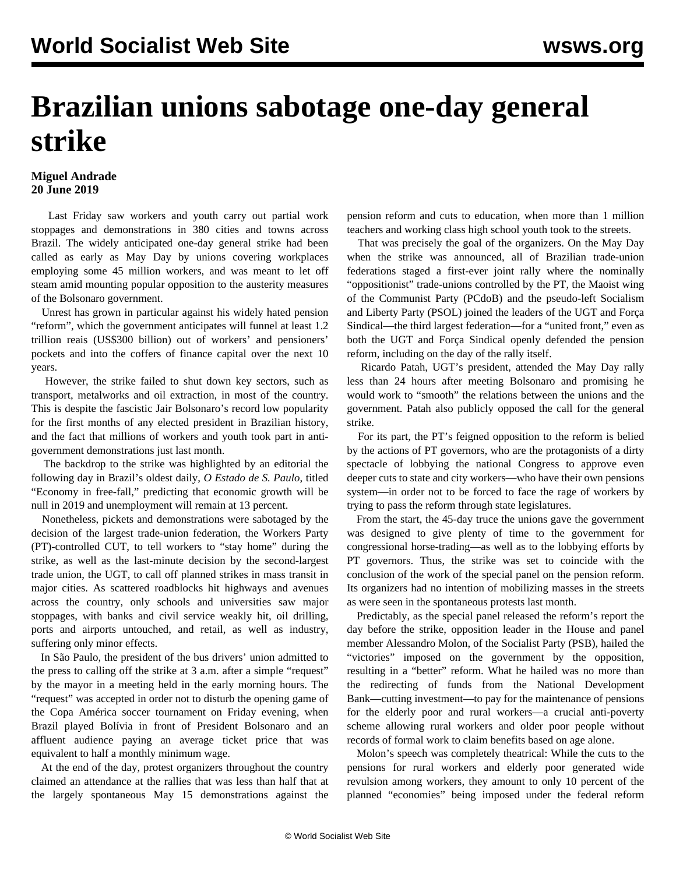## **Brazilian unions sabotage one-day general strike**

## **Miguel Andrade 20 June 2019**

 Last Friday saw workers and youth carry out partial work stoppages and demonstrations in 380 cities and towns across Brazil. The widely anticipated one-day general strike had been called as early as May Day by unions covering workplaces employing some 45 million workers, and was meant to let off steam amid mounting popular opposition to the austerity measures of the Bolsonaro government.

 Unrest has grown in particular against his widely hated pension "reform", which the government anticipates will funnel at least 1.2 trillion reais (US\$300 billion) out of workers' and pensioners' pockets and into the coffers of finance capital over the next 10 years.

 However, the strike failed to shut down key sectors, such as transport, metalworks and oil extraction, in most of the country. This is despite the fascistic Jair Bolsonaro's record low popularity for the first months of any elected president in Brazilian history, and the fact that millions of workers and youth took part in antigovernment demonstrations just last month.

 The backdrop to the strike was highlighted by an editorial the following day in Brazil's oldest daily, *O Estado de S. Paulo*, titled "Economy in free-fall," predicting that economic growth will be null in 2019 and unemployment will remain at 13 percent.

 Nonetheless, pickets and demonstrations were sabotaged by the decision of the largest trade-union federation, the Workers Party (PT)-controlled CUT, to tell workers to "stay home" during the strike, as well as the last-minute decision by the second-largest trade union, the UGT, to call off planned strikes in mass transit in major cities. As scattered roadblocks hit highways and avenues across the country, only schools and universities saw major stoppages, with banks and civil service weakly hit, oil drilling, ports and airports untouched, and retail, as well as industry, suffering only minor effects.

 In São Paulo, the president of the bus drivers' union admitted to the press to calling off the strike at 3 a.m. after a simple "request" by the mayor in a meeting held in the early morning hours. The "request" was accepted in order not to disturb the opening game of the Copa América soccer tournament on Friday evening, when Brazil played Bolívia in front of President Bolsonaro and an affluent audience paying an average ticket price that was equivalent to half a monthly minimum wage.

 At the end of the day, protest organizers throughout the country claimed an attendance at the rallies that was less than half that at the largely spontaneous May 15 demonstrations against the pension reform and cuts to education, when more than 1 million teachers and working class high school youth took to the streets.

 That was precisely the goal of the organizers. On the May Day when the strike was announced, all of Brazilian trade-union federations staged a first-ever joint rally where the nominally "oppositionist" trade-unions controlled by the PT, the Maoist wing of the Communist Party (PCdoB) and the pseudo-left Socialism and Liberty Party (PSOL) joined the leaders of the UGT and Força Sindical—the third largest federation—for a "united front," even as both the UGT and Força Sindical openly defended the pension reform, including on the day of the rally itself.

 Ricardo Patah, UGT's president, attended the May Day rally less than 24 hours after meeting Bolsonaro and promising he would work to "smooth" the relations between the unions and the government. Patah also publicly opposed the call for the general strike.

 For its part, the PT's feigned opposition to the reform is belied by the actions of PT governors, who are the protagonists of a dirty spectacle of lobbying the national Congress to approve even deeper cuts to state and city workers—who have their own pensions system—in order not to be forced to face the rage of workers by trying to pass the reform through state legislatures.

 From the start, the 45-day truce the unions gave the government was designed to give plenty of time to the government for congressional horse-trading—as well as to the lobbying efforts by PT governors. Thus, the strike was set to coincide with the conclusion of the work of the special panel on the pension reform. Its organizers had no intention of mobilizing masses in the streets as were seen in the spontaneous protests last month.

 Predictably, as the special panel released the reform's report the day before the strike, opposition leader in the House and panel member Alessandro Molon, of the Socialist Party (PSB), hailed the "victories" imposed on the government by the opposition, resulting in a "better" reform. What he hailed was no more than the redirecting of funds from the National Development Bank—cutting investment—to pay for the maintenance of pensions for the elderly poor and rural workers—a crucial anti-poverty scheme allowing rural workers and older poor people without records of formal work to claim benefits based on age alone.

 Molon's speech was completely theatrical: While the cuts to the pensions for rural workers and elderly poor generated wide revulsion among workers, they amount to only 10 percent of the planned "economies" being imposed under the federal reform